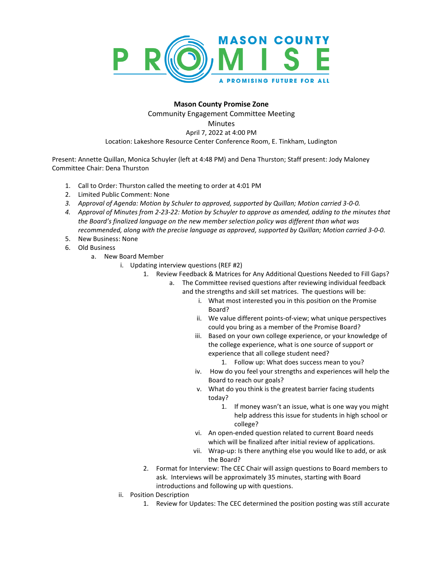

## **Mason County Promise Zone**

Community Engagement Committee Meeting

**Minutes** 

## April 7, 2022 at 4:00 PM

Location: Lakeshore Resource Center Conference Room, E. Tinkham, Ludington

Present: Annette Quillan, Monica Schuyler (left at 4:48 PM) and Dena Thurston; Staff present: Jody Maloney Committee Chair: Dena Thurston

- 1. Call to Order: Thurston called the meeting to order at 4:01 PM
- 2. Limited Public Comment: None
- *3. Approval of Agenda: Motion by Schuler to approved, supported by Quillan; Motion carried 3-0-0.*
- *4. Approval of Minutes from 2-23-22: Motion by Schuyler to approve as amended, adding to the minutes that the Board's finalized language on the new member selection policy was different than what was recommended, along with the precise language as approved, supported by Quillan; Motion carried 3-0-0.*
- 5. New Business: None
- 6. Old Business
	- a. New Board Member
		- i. Updating interview questions (REF #2)
			- 1. Review Feedback & Matrices for Any Additional Questions Needed to Fill Gaps?
				- a. The Committee revised questions after reviewing individual feedback
					- and the strengths and skill set matrices. The questions will be:
						- i. What most interested you in this position on the Promise Board?
						- ii. We value different points-of-view; what unique perspectives could you bring as a member of the Promise Board?
						- iii. Based on your own college experience, or your knowledge of the college experience, what is one source of support or experience that all college student need?
							- 1. Follow up: What does success mean to you?
						- iv. How do you feel your strengths and experiences will help the Board to reach our goals?
						- v. What do you think is the greatest barrier facing students today?
							- 1. If money wasn't an issue, what is one way you might help address this issue for students in high school or college?
						- vi. An open-ended question related to current Board needs which will be finalized after initial review of applications.
						- vii. Wrap-up: Is there anything else you would like to add, or ask the Board?
			- 2. Format for Interview: The CEC Chair will assign questions to Board members to ask. Interviews will be approximately 35 minutes, starting with Board introductions and following up with questions.
		- ii. Position Description
			- 1. Review for Updates: The CEC determined the position posting was still accurate